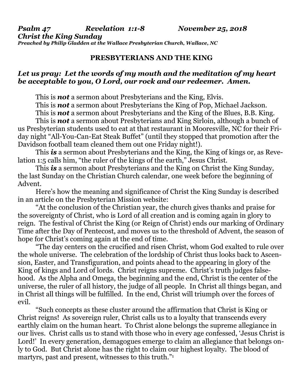*Psalm 47 Revelation 1:1-8 November 25, 2018 Christ the King Sunday Preached by Philip Gladden at the Wallace Presbyterian Church, Wallace, NC*

## **PRESBYTERIANS AND THE KING**

## *Let us pray: Let the words of my mouth and the meditation of my heart be acceptable to you, O Lord, our rock and our redeemer. Amen.*

This is *not* a sermon about Presbyterians and the King, Elvis.

This is *not* a sermon about Presbyterians the King of Pop, Michael Jackson.

This is *not* a sermon about Presbyterians and the King of the Blues, B.B. King.

This is *not* a sermon about Presbyterians and King Sirloin, although a bunch of us Presbyterian students used to eat at that restaurant in Mooresville, NC for their Friday night "All-You-Can-Eat Steak Buffet" (until they stopped that promotion after the Davidson football team cleaned them out one Friday night!).

This *is* a sermon about Presbyterians and the King, the King of kings or, as Revelation 1:5 calls him, "the ruler of the kings of the earth," Jesus Christ.

This **is** a sermon about Presbyterians and the King on Christ the King Sunday, the last Sunday on the Christian Church calendar, one week before the beginning of Advent.

Here's how the meaning and significance of Christ the King Sunday is described in an article on the Presbyterian Mission website:

"At the conclusion of the Christian year, the church gives thanks and praise for the sovereignty of Christ, who is Lord of all creation and is coming again in glory to reign. The festival of Christ the King (or Reign of Christ) ends our marking of Ordinary Time after the Day of Pentecost, and moves us to the threshold of Advent, the season of hope for Christ's coming again at the end of time.

"The day centers on the crucified and risen Christ, whom God exalted to rule over the whole universe. The celebration of the lordship of Christ thus looks back to Ascension, Easter, and Transfiguration, and points ahead to the appearing in glory of the King of kings and Lord of lords. Christ reigns supreme. Christ's truth judges falsehood. As the Alpha and Omega, the beginning and the end, Christ is the center of the universe, the ruler of all history, the judge of all people. In Christ all things began, and in Christ all things will be fulfilled. In the end, Christ will triumph over the forces of evil.

"Such concepts as these cluster around the affirmation that Christ is King or Christ reigns! As sovereign ruler, Christ calls us to a loyalty that transcends every earthly claim on the human heart. To Christ alone belongs the supreme allegiance in our lives. Christ calls us to stand with those who in every age confessed, 'Jesus Christ is Lord!' In every generation, demagogues emerge to claim an allegiance that belongs only to God. But Christ alone has the right to claim our highest loyalty. The blood of martyrs, past and present, witnesses to this truth."<sup>1</sup>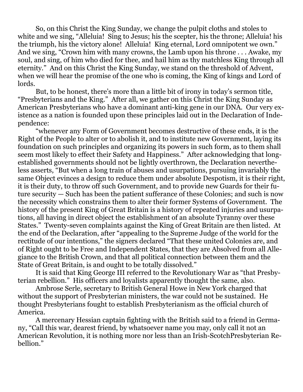So, on this Christ the King Sunday, we change the pulpit cloths and stoles to white and we sing, "Alleluia! Sing to Jesus; his the scepter, his the throne; Alleluia! his the triumph, his the victory alone! Alleluia! King eternal, Lord omnipotent we own." And we sing, "Crown him with many crowns, the Lamb upon his throne . . . Awake, my soul, and sing, of him who died for thee, and hail him as thy matchless King through all eternity." And on this Christ the King Sunday, we stand on the threshold of Advent, when we will hear the promise of the one who is coming, the King of kings and Lord of lords.

But, to be honest, there's more than a little bit of irony in today's sermon title, "Presbyterians and the King." After all, we gather on this Christ the King Sunday as American Presbyterians who have a dominant anti-king gene in our DNA. Our very existence as a nation is founded upon these principles laid out in the Declaration of Independence:

"whenever any Form of Government becomes destructive of these ends, it is the Right of the People to alter or to abolish it, and to institute new Government, laying its foundation on such principles and organizing its powers in such form, as to them shall seem most likely to effect their Safety and Happiness." After acknowledging that longestablished governments should not be lightly overthrown, the Declaration nevertheless asserts, "But when a long train of abuses and usurpations, pursuing invariably the same Object evinces a design to reduce them under absolute Despotism, it is their right, it is their duty, to throw off such Government, and to provide new Guards for their future security — Such has been the patient sufferance of these Colonies; and such is now the necessity which constrains them to alter their former Systems of Government. The history of the present King of Great Britain is a history of repeated injuries and usurpations, all having in direct object the establishment of an absolute Tyranny over these States." Twenty-seven complaints against the King of Great Britain are then listed. At the end of the Declaration, after "appealing to the Supreme Judge of the world for the rectitude of our intentions," the signers declared "That these united Colonies are, and of Right ought to be Free and Independent States, that they are Absolved from all Allegiance to the British Crown, and that all political connection between them and the State of Great Britain, is and ought to be totally dissolved."

It is said that King George III referred to the Revolutionary War as "that Presbyterian rebellion." His officers and loyalists apparently thought the same, also.

Ambrose Serle, secretary to British General Howe in New York charged that without the support of Presbyterian ministers, the war could not be sustained. He thought Presbyterians fought to establish Presbyterianism as the official church of America.

A mercenary Hessian captain fighting with the British said to a friend in Germany, "Call this war, dearest friend, by whatsoever name you may, only call it not an American Revolution, it is nothing more nor less than an Irish-ScotchPresbyterian Rebellion."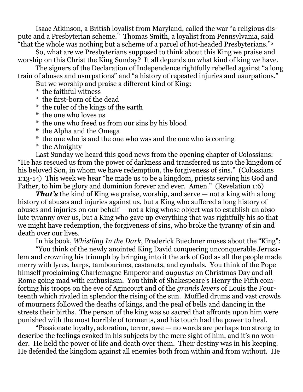Isaac Atkinson, a British loyalist from Maryland, called the war "a religious dispute and a Presbyterian scheme." Thomas Smith, a loyalist from Pennsylvania, said "that the whole was nothing but a scheme of a parcel of hot-headed Presbyterians."<sup>2</sup>

So, what are we Presbyterians supposed to think about this King we praise and worship on this Christ the King Sunday? It all depends on what kind of king we have.

The signers of the Declaration of Independence rightfully rebelled against "a long train of abuses and usurpations" and "a history of repeated injuries and usurpations."

But we worship and praise a different kind of King:

- \* the faithful witness
- \* the first-born of the dead
- \* the ruler of the kings of the earth
- \* the one who loves us
- \* the one who freed us from our sins by his blood
- \* the Alpha and the Omega
- \* the one who is and the one who was and the one who is coming
- \* the Almighty

Last Sunday we heard this good news from the opening chapter of Colossians: "He has rescued us from the power of darkness and transferred us into the kingdom of his beloved Son, in whom we have redemption, the forgiveness of sins." (Colossians 1:13-14) This week we hear "he made us to be a kingdom, priests serving his God and Father, to him be glory and dominion forever and ever. Amen." (Revelation 1:6)

*That's* the kind of King we praise, worship, and serve — not a king with a long history of abuses and injuries against us, but a King who suffered a long history of abuses and injuries on our behalf — not a king whose object was to establish an absolute tyranny over us, but a King who gave up everything that was rightfully his so that we might have redemption, the forgiveness of sins, who broke the tyranny of sin and death over our lives.

In his book, *Whistling In the Dark*, Frederick Buechner muses about the "King":

"You think of the newly anointed King David conquering unconquerable Jerusalem and crowning his triumph by bringing into it the ark of God as all the people made merry with lyres, harps, tambourines, castanets, and cymbals. You think of the Pope himself proclaiming Charlemagne Emperor and *augustus* on Christmas Day and all Rome going mad with enthusiasm. You think of Shakespeare's Henry the Fifth comforting his troops on the eve of Agincourt and of the *grands levers* of Louis the Fourteenth which rivaled in splendor the rising of the sun. Muffled drums and vast crowds of mourners followed the deaths of kings, and the peal of bells and dancing in the streets their births. The person of the king was so sacred that affronts upon him were punished with the most horrible of torments, and his touch had the power to heal.

"Passionate loyalty, adoration, terror, awe — no words are perhaps too strong to describe the feelings evoked in his subjects by the mere sight of him, and it's no wonder. He held the power of life and death over them. Their destiny was in his keeping. He defended the kingdom against all enemies both from within and from without. He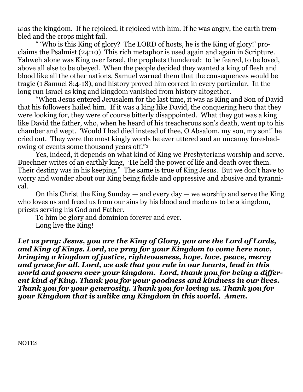*was* the kingdom. If he rejoiced, it rejoiced with him. If he was angry, the earth trembled and the crops might fail.

" 'Who is this King of glory? The LORD of hosts, he is the King of glory!' proclaims the Psalmist (24:10) This rich metaphor is used again and again in Scripture. Yahweh alone was King over Israel, the prophets thundered: to be feared, to be loved, above all else to be obeyed. When the people decided they wanted a king of flesh and blood like all the other nations, Samuel warned them that the consequences would be tragic (1 Samuel 8:4-18), and history proved him correct in every particular. In the long run Israel as king and kingdom vanished from history altogether.

"When Jesus entered Jerusalem for the last time, it was as King and Son of David that his followers hailed him. If it was a king like David, the conquering hero that they were looking for, they were of course bitterly disappointed. What they got was a king like David the father, who, when he heard of his treacherous son's death, went up to his chamber and wept. 'Would I had died instead of thee, O Absalom, my son, my son!' he cried out. They were the most kingly words he ever uttered and an uncanny foreshadowing of events some thousand years off."<sup>3</sup>

Yes, indeed, it depends on what kind of King we Presbyterians worship and serve. Buechner writes of an earthly king, "He held the power of life and death over them. Their destiny was in his keeping." The same is true of King Jesus. But we don't have to worry and wonder about our King being fickle and oppressive and abusive and tyrannical.

On this Christ the King Sunday — and every day — we worship and serve the King who loves us and freed us from our sins by his blood and made us to be a kingdom, priests serving his God and Father.

To him be glory and dominion forever and ever. Long live the King!

*Let us pray: Jesus, you are the King of Glory, you are the Lord of Lords, and King of Kings. Lord, we pray for your Kingdom to come here now, bringing a kingdom of justice, righteousness, hope, love, peace, mercy and grace for all. Lord, we ask that you rule in our hearts, lead in this world and govern over your kingdom. Lord, thank you for being a different kind of King. Thank you for your goodness and kindness in our lives. Thank you for your generosity. Thank you for loving us. Thank you for your Kingdom that is unlike any Kingdom in this world. Amen.*